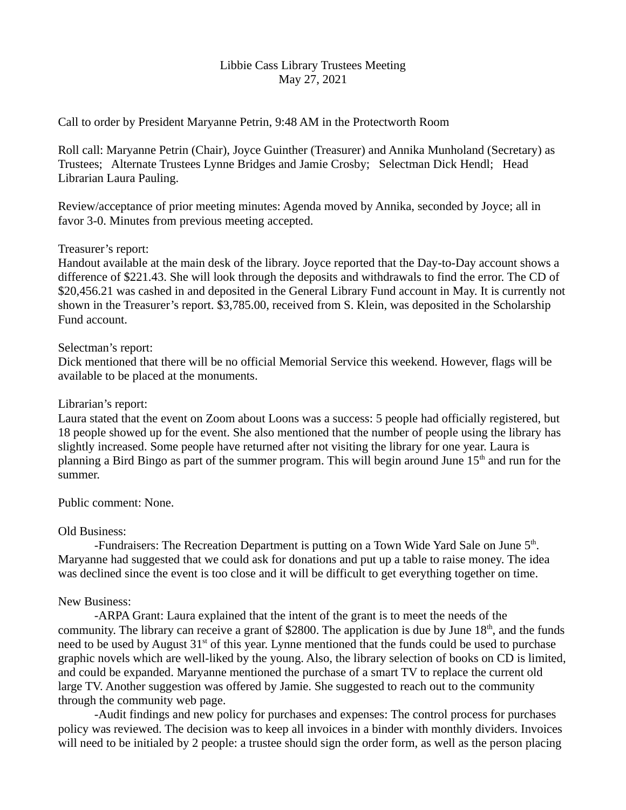### Libbie Cass Library Trustees Meeting May 27, 2021

Call to order by President Maryanne Petrin, 9:48 AM in the Protectworth Room

Roll call: Maryanne Petrin (Chair), Joyce Guinther (Treasurer) and Annika Munholand (Secretary) as Trustees; Alternate Trustees Lynne Bridges and Jamie Crosby; Selectman Dick Hendl; Head Librarian Laura Pauling.

Review/acceptance of prior meeting minutes: Agenda moved by Annika, seconded by Joyce; all in favor 3-0. Minutes from previous meeting accepted.

### Treasurer's report:

Handout available at the main desk of the library. Joyce reported that the Day-to-Day account shows a difference of \$221.43. She will look through the deposits and withdrawals to find the error. The CD of \$20,456.21 was cashed in and deposited in the General Library Fund account in May. It is currently not shown in the Treasurer's report. \$3,785.00, received from S. Klein, was deposited in the Scholarship Fund account.

### Selectman's report:

Dick mentioned that there will be no official Memorial Service this weekend. However, flags will be available to be placed at the monuments.

## Librarian's report:

Laura stated that the event on Zoom about Loons was a success: 5 people had officially registered, but 18 people showed up for the event. She also mentioned that the number of people using the library has slightly increased. Some people have returned after not visiting the library for one year. Laura is planning a Bird Bingo as part of the summer program. This will begin around June 15<sup>th</sup> and run for the summer.

# Public comment: None.

# Old Business:

-Fundraisers: The Recreation Department is putting on a Town Wide Yard Sale on June  $5<sup>th</sup>$ . Maryanne had suggested that we could ask for donations and put up a table to raise money. The idea was declined since the event is too close and it will be difficult to get everything together on time.

# New Business:

-ARPA Grant: Laura explained that the intent of the grant is to meet the needs of the community. The library can receive a grant of \$2800. The application is due by June  $18<sup>th</sup>$ , and the funds need to be used by August  $31<sup>st</sup>$  of this year. Lynne mentioned that the funds could be used to purchase graphic novels which are well-liked by the young. Also, the library selection of books on CD is limited, and could be expanded. Maryanne mentioned the purchase of a smart TV to replace the current old large TV. Another suggestion was offered by Jamie. She suggested to reach out to the community through the community web page.

-Audit findings and new policy for purchases and expenses: The control process for purchases policy was reviewed. The decision was to keep all invoices in a binder with monthly dividers. Invoices will need to be initialed by 2 people: a trustee should sign the order form, as well as the person placing